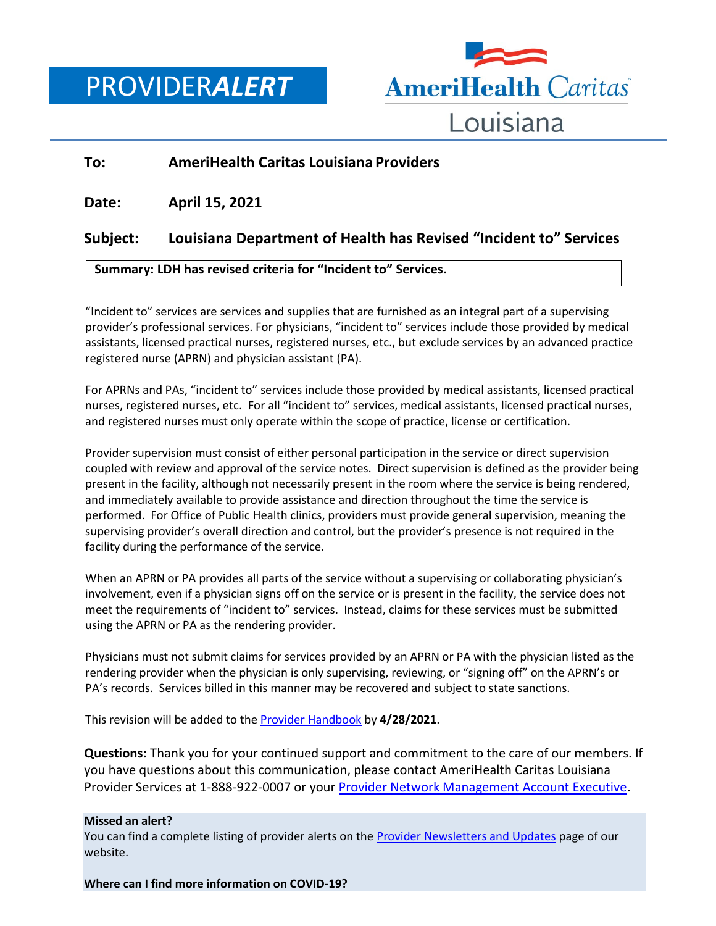PROVIDER*ALERT*



## **To: AmeriHealth Caritas Louisiana Providers**

**Date: April 15, 2021**

## **Subject: Louisiana Department of Health has Revised "Incident to" Services**

## **Summary: LDH has revised criteria for "Incident to" Services.**

"Incident to" services are services and supplies that are furnished as an integral part of a supervising provider's professional services. For physicians, "incident to" services include those provided by medical assistants, licensed practical nurses, registered nurses, etc., but exclude services by an advanced practice registered nurse (APRN) and physician assistant (PA).

For APRNs and PAs, "incident to" services include those provided by medical assistants, licensed practical nurses, registered nurses, etc. For all "incident to" services, medical assistants, licensed practical nurses, and registered nurses must only operate within the scope of practice, license or certification.

Provider supervision must consist of either personal participation in the service or direct supervision coupled with review and approval of the service notes. Direct supervision is defined as the provider being present in the facility, although not necessarily present in the room where the service is being rendered, and immediately available to provide assistance and direction throughout the time the service is performed. For Office of Public Health clinics, providers must provide general supervision, meaning the supervising provider's overall direction and control, but the provider's presence is not required in the facility during the performance of the service.

When an APRN or PA provides all parts of the service without a supervising or collaborating physician's involvement, even if a physician signs off on the service or is present in the facility, the service does not meet the requirements of "incident to" services. Instead, claims for these services must be submitted using the APRN or PA as the rendering provider.

Physicians must not submit claims for services provided by an APRN or PA with the physician listed as the rendering provider when the physician is only supervising, reviewing, or "signing off" on the APRN's or PA's records. Services billed in this manner may be recovered and subject to state sanctions.

This revision will be added to the [Provider Handbook](https://www.amerihealthcaritasla.com/pdf/provider/resources/manual/handbook.pdf) by **4/28/2021**.

**Questions:** Thank you for your continued support and commitment to the care of our members. If you have questions about this communication, please contact AmeriHealth Caritas Louisiana Provider Services at 1-888-922-0007 or you[r Provider Network Management Account Executive.](http://www.amerihealthcaritasla.com/pdf/provider/account-executives.pdf)

## **Missed an alert?**

You can find a complete listing of provider alerts on the [Provider Newsletters and Updates](http://amerihealthcaritasla.com/provider/newsletters-and-updates.) page of our website.

**Where can I find more information on COVID-19?**